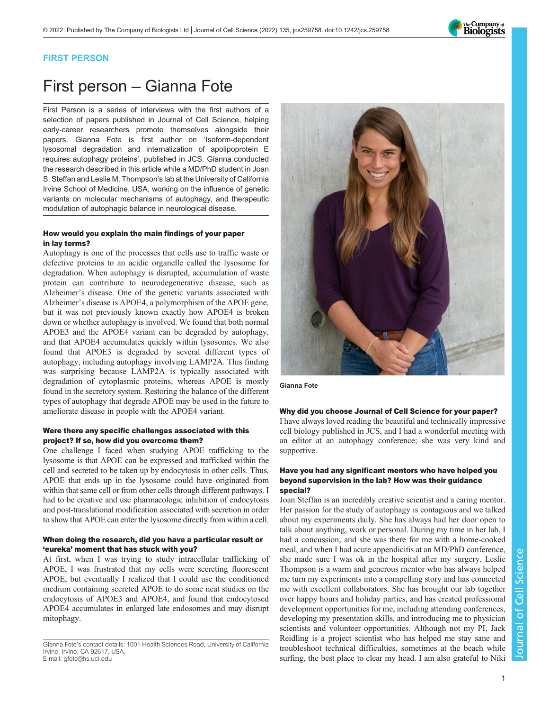

# FIRST PERSON

# First person – Gianna Fote

First Person is a series of interviews with the first authors of a selection of papers published in Journal of Cell Science, helping early-career researchers promote themselves alongside their papers. Gianna Fote is first author on '[Isoform-dependent](#page-1-0) [lysosomal degradation and internalization of apolipoprotein E](#page-1-0) [requires autophagy proteins](#page-1-0)', published in JCS. Gianna conducted the research described in this article while a MD/PhD student in Joan S. Steffan and Leslie M. Thompson's lab at the University of California Irvine School of Medicine, USA, working on the influence of genetic variants on molecular mechanisms of autophagy, and therapeutic modulation of autophagic balance in neurological disease.

## How would you explain the main findings of your paper in lay terms?

Autophagy is one of the processes that cells use to traffic waste or defective proteins to an acidic organelle called the lysosome for degradation. When autophagy is disrupted, accumulation of waste protein can contribute to neurodegenerative disease, such as Alzheimer's disease. One of the genetic variants associated with Alzheimer's disease is APOE4, a polymorphism of the APOE gene, but it was not previously known exactly how APOE4 is broken down or whether autophagy is involved. We found that both normal APOE3 and the APOE4 variant can be degraded by autophagy, and that APOE4 accumulates quickly within lysosomes. We also found that APOE3 is degraded by several different types of autophagy, including autophagy involving LAMP2A. This finding was surprising because LAMP2A is typically associated with degradation of cytoplasmic proteins, whereas APOE is mostly found in the secretory system. Restoring the balance of the different types of autophagy that degrade APOE may be used in the future to ameliorate disease in people with the APOE4 variant.

## Were there any specific challenges associated with this project? If so, how did you overcome them?

One challenge I faced when studying APOE trafficking to the lysosome is that APOE can be expressed and trafficked within the cell and secreted to be taken up by endocytosis in other cells. Thus, APOE that ends up in the lysosome could have originated from within that same cell or from other cells through different pathways. I had to be creative and use pharmacologic inhibition of endocytosis and post-translational modification associated with secretion in order to show that APOE can enter the lysosome directly from within a cell.

# When doing the research, did you have a particular result or 'eureka' moment that has stuck with you?

At first, when I was trying to study intracellular trafficking of APOE, I was frustrated that my cells were secreting fluorescent APOE, but eventually I realized that I could use the conditioned medium containing secreted APOE to do some neat studies on the endocytosis of APOE3 and APOE4, and found that endocytosed APOE4 accumulates in enlarged late endosomes and may disrupt mitophagy.



Gianna Fote

#### Why did you choose Journal of Cell Science for your paper?

I have always loved reading the beautiful and technically impressive cell biology published in JCS, and I had a wonderful meeting with an editor at an autophagy conference; she was very kind and supportive.

## Have you had any significant mentors who have helped you beyond supervision in the lab? How was their guidance special?

Joan Steffan is an incredibly creative scientist and a caring mentor. Her passion for the study of autophagy is contagious and we talked about my experiments daily. She has always had her door open to talk about anything, work or personal. During my time in her lab, I had a concussion, and she was there for me with a home-cooked meal, and when I had acute appendicitis at an MD/PhD conference, she made sure I was ok in the hospital after my surgery. Leslie Thompson is a warm and generous mentor who has always helped me turn my experiments into a compelling story and has connected me with excellent collaborators. She has brought our lab together over happy hours and holiday parties, and has created professional development opportunities for me, including attending conferences, developing my presentation skills, and introducing me to physician scientists and volunteer opportunities. Although not my PI, Jack Reidling is a project scientist who has helped me stay sane and troubleshoot technical difficulties, sometimes at the beach while surfing, the best place to clear my head. I am also grateful to Niki

Gianna Fote's contact details: 1001 Health Sciences Road, University of California Irvine, Irvine, CA 92617, USA. E-mail: [gfote@hs.uci.edu](mailto:gfote@hs.uci.edu)